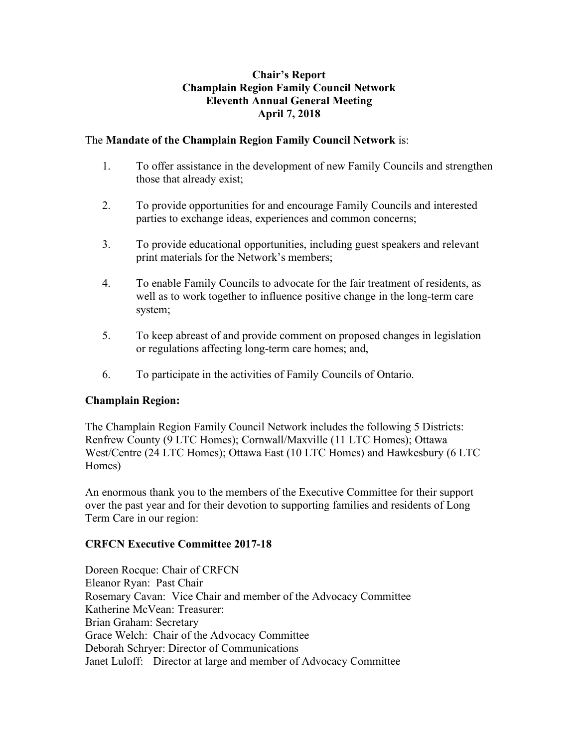#### **Chair's Report Champlain Region Family Council Network Eleventh Annual General Meeting April 7, 2018**

# The **Mandate of the Champlain Region Family Council Network** is:

- 1. To offer assistance in the development of new Family Councils and strengthen those that already exist;
- 2. To provide opportunities for and encourage Family Councils and interested parties to exchange ideas, experiences and common concerns;
- 3. To provide educational opportunities, including guest speakers and relevant print materials for the Network's members;
- 4. To enable Family Councils to advocate for the fair treatment of residents, as well as to work together to influence positive change in the long-term care system;
- 5. To keep abreast of and provide comment on proposed changes in legislation or regulations affecting long-term care homes; and,
- 6. To participate in the activities of Family Councils of Ontario.

# **Champlain Region:**

The Champlain Region Family Council Network includes the following 5 Districts: Renfrew County (9 LTC Homes); Cornwall/Maxville (11 LTC Homes); Ottawa West/Centre (24 LTC Homes); Ottawa East (10 LTC Homes) and Hawkesbury (6 LTC Homes)

An enormous thank you to the members of the Executive Committee for their support over the past year and for their devotion to supporting families and residents of Long Term Care in our region:

# **CRFCN Executive Committee 2017-18**

Doreen Rocque: Chair of CRFCN Eleanor Ryan: Past Chair Rosemary Cavan: Vice Chair and member of the Advocacy Committee Katherine McVean: Treasurer: Brian Graham: Secretary Grace Welch: Chair of the Advocacy Committee Deborah Schryer: Director of Communications Janet Luloff: Director at large and member of Advocacy Committee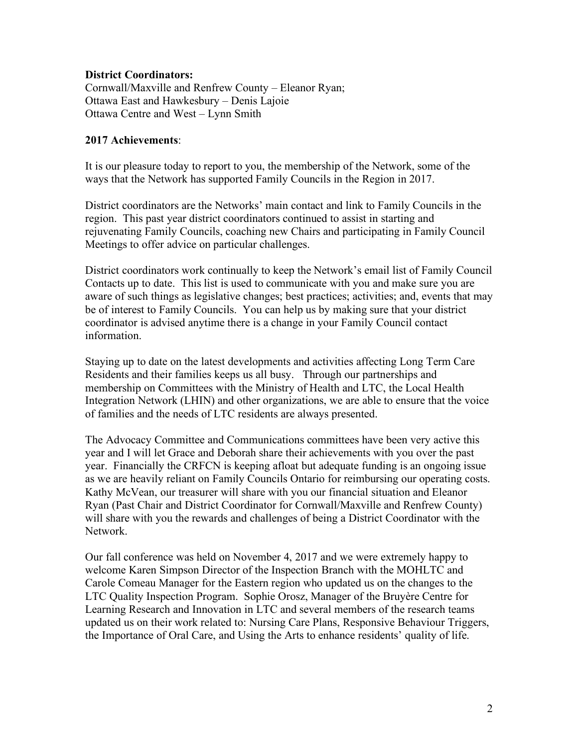#### **District Coordinators:**

Cornwall/Maxville and Renfrew County – Eleanor Ryan; Ottawa East and Hawkesbury – Denis Lajoie Ottawa Centre and West – Lynn Smith

#### **2017 Achievements**:

It is our pleasure today to report to you, the membership of the Network, some of the ways that the Network has supported Family Councils in the Region in 2017.

District coordinators are the Networks' main contact and link to Family Councils in the region. This past year district coordinators continued to assist in starting and rejuvenating Family Councils, coaching new Chairs and participating in Family Council Meetings to offer advice on particular challenges.

District coordinators work continually to keep the Network's email list of Family Council Contacts up to date. This list is used to communicate with you and make sure you are aware of such things as legislative changes; best practices; activities; and, events that may be of interest to Family Councils. You can help us by making sure that your district coordinator is advised anytime there is a change in your Family Council contact information.

Staying up to date on the latest developments and activities affecting Long Term Care Residents and their families keeps us all busy. Through our partnerships and membership on Committees with the Ministry of Health and LTC, the Local Health Integration Network (LHIN) and other organizations, we are able to ensure that the voice of families and the needs of LTC residents are always presented.

The Advocacy Committee and Communications committees have been very active this year and I will let Grace and Deborah share their achievements with you over the past year. Financially the CRFCN is keeping afloat but adequate funding is an ongoing issue as we are heavily reliant on Family Councils Ontario for reimbursing our operating costs. Kathy McVean, our treasurer will share with you our financial situation and Eleanor Ryan (Past Chair and District Coordinator for Cornwall/Maxville and Renfrew County) will share with you the rewards and challenges of being a District Coordinator with the Network.

Our fall conference was held on November 4, 2017 and we were extremely happy to welcome Karen Simpson Director of the Inspection Branch with the MOHLTC and Carole Comeau Manager for the Eastern region who updated us on the changes to the LTC Quality Inspection Program. Sophie Orosz, Manager of the Bruyère Centre for Learning Research and Innovation in LTC and several members of the research teams updated us on their work related to: Nursing Care Plans, Responsive Behaviour Triggers, the Importance of Oral Care, and Using the Arts to enhance residents' quality of life.